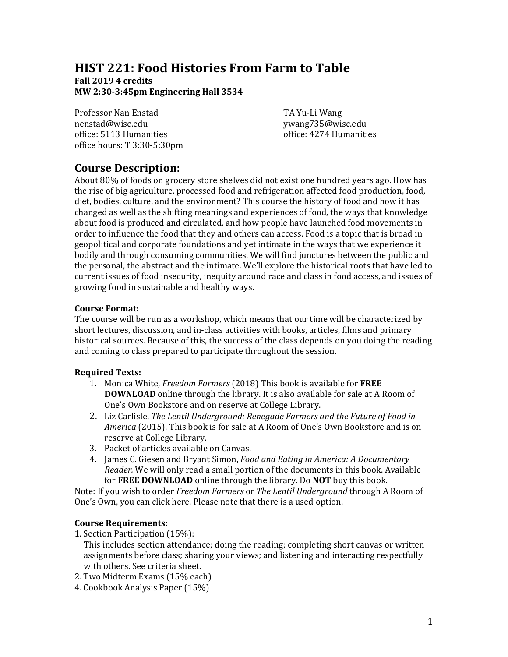# **HIST 221: Food Histories From Farm to Table**

## **Fall 2019 4 credits MW 2:30‐3:45pm Engineering Hall 3534**

Professor Nan Enstad TA Yu-Li Wang nenstad@wisc.edu ywang735@wisc.edu office: 5113 Humanities office: 4274 Humanities office hours: T 3:30-5:30pm

# **Course Description:**

About 80% of foods on grocery store shelves did not exist one hundred years ago. How has the rise of big agriculture, processed food and refrigeration affected food production, food, diet, bodies, culture, and the environment? This course the history of food and how it has changed as well as the shifting meanings and experiences of food, the ways that knowledge about food is produced and circulated, and how people have launched food movements in order to influence the food that they and others can access. Food is a topic that is broad in geopolitical and corporate foundations and yet intimate in the ways that we experience it bodily and through consuming communities. We will find junctures between the public and the personal, the abstract and the intimate. We'll explore the historical roots that have led to current issues of food insecurity, inequity around race and class in food access, and issues of growing food in sustainable and healthy ways.

## **Course Format:**

The course will be run as a workshop, which means that our time will be characterized by short lectures, discussion, and in-class activities with books, articles, films and primary historical sources. Because of this, the success of the class depends on you doing the reading and coming to class prepared to participate throughout the session.

## **Required Texts:**

- 1. Monica White, *Freedom Farmers* (2018) This book is available for **FREE DOWNLOAD** online through the library. It is also available for sale at A Room of One's Own Bookstore and on reserve at College Library.
- 2. Liz Carlisle, *The Lentil Underground: Renegade Farmers and the Future of Food in America* (2015). This book is for sale at A Room of One's Own Bookstore and is on reserve at College Library.
- 3. Packet of articles available on Canvas.
- 4. James C. Giesen and Bryant Simon, *Food and Eating in America: A Documentary Reader.* We will only read a small portion of the documents in this book. Available for **FREE DOWNLOAD** online through the library. Do **NOT** buy this book.

Note: If you wish to order *Freedom Farmers* or *The Lentil Underground* through A Room of One's Own, you can click here. Please note that there is a used option.

## **Course Requirements:**

- 1. Section Participation (15%):
	- This includes section attendance; doing the reading; completing short canvas or written assignments before class; sharing your views; and listening and interacting respectfully with others. See criteria sheet.
- 2. Two Midterm Exams (15% each)
- 4. Cookbook Analysis Paper (15%)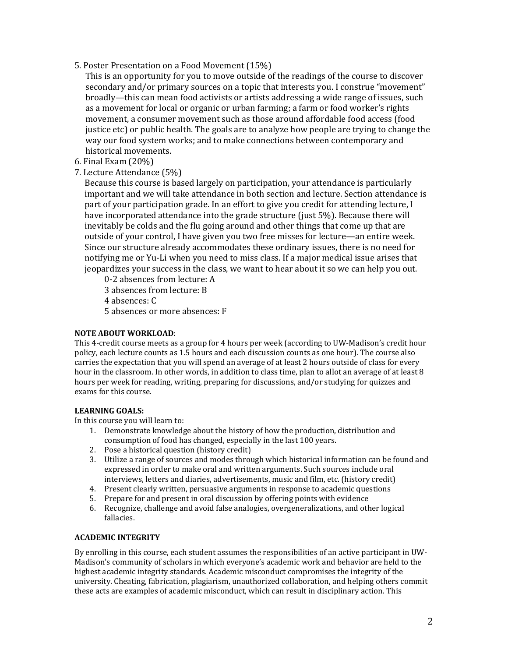5. Poster Presentation on a Food Movement (15%)

This is an opportunity for you to move outside of the readings of the course to discover secondary and/or primary sources on a topic that interests you. I construe "movement" broadly—this can mean food activists or artists addressing a wide range of issues, such as a movement for local or organic or urban farming; a farm or food worker's rights movement, a consumer movement such as those around affordable food access (food justice etc) or public health. The goals are to analyze how people are trying to change the way our food system works; and to make connections between contemporary and historical movements.

- 6. Final Exam (20%)
- 7. Lecture Attendance (5%)

Because this course is based largely on participation, your attendance is particularly important and we will take attendance in both section and lecture. Section attendance is part of your participation grade. In an effort to give you credit for attending lecture, I have incorporated attendance into the grade structure (just 5%). Because there will inevitably be colds and the flu going around and other things that come up that are outside of your control, I have given you two free misses for lecture—an entire week. Since our structure already accommodates these ordinary issues, there is no need for notifying me or Yu-Li when you need to miss class. If a major medical issue arises that jeopardizes your success in the class, we want to hear about it so we can help you out.

0-2 absences from lecture: A 3 absences from lecture: B 4 absences: C 5 absences or more absences: F

### **NOTE ABOUT WORKLOAD**:

This 4-credit course meets as a group for 4 hours per week (according to UW-Madison's credit hour policy, each lecture counts as 1.5 hours and each discussion counts as one hour). The course also carries the expectation that you will spend an average of at least 2 hours outside of class for every hour in the classroom. In other words, in addition to class time, plan to allot an average of at least 8 hours per week for reading, writing, preparing for discussions, and/or studying for quizzes and exams for this course.

### **LEARNING GOALS:**

In this course you will learn to:

- 1. Demonstrate knowledge about the history of how the production, distribution and consumption of food has changed, especially in the last 100 years.
- 2. Pose a historical question (history credit)
- 3. Utilize a range of sources and modes through which historical information can be found and expressed in order to make oral and written arguments. Such sources include oral interviews, letters and diaries, advertisements, music and film, etc. (history credit)
- 4. Present clearly written, persuasive arguments in response to academic questions
- 5. Prepare for and present in oral discussion by offering points with evidence
- 6. Recognize, challenge and avoid false analogies, overgeneralizations, and other logical fallacies.

### **ACADEMIC INTEGRITY**

By enrolling in this course, each student assumes the responsibilities of an active participant in UW-Madison's community of scholars in which everyone's academic work and behavior are held to the highest academic integrity standards. Academic misconduct compromises the integrity of the university. Cheating, fabrication, plagiarism, unauthorized collaboration, and helping others commit these acts are examples of academic misconduct, which can result in disciplinary action. This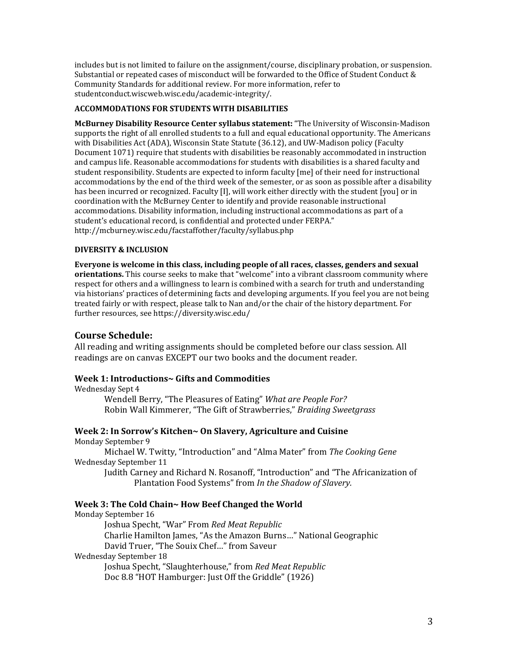includes but is not limited to failure on the assignment/course, disciplinary probation, or suspension. Substantial or repeated cases of misconduct will be forwarded to the Office of Student Conduct & Community Standards for additional review. For more information, refer to studentconduct.wiscweb.wisc.edu/academic-integrity/.

### **ACCOMMODATIONS FOR STUDENTS WITH DISABILITIES**

**McBurney Disability Resource Center syllabus statement:** "The University of Wisconsin-Madison supports the right of all enrolled students to a full and equal educational opportunity. The Americans with Disabilities Act (ADA), Wisconsin State Statute (36.12), and UW-Madison policy (Faculty Document 1071) require that students with disabilities be reasonably accommodated in instruction and campus life. Reasonable accommodations for students with disabilities is a shared faculty and student responsibility. Students are expected to inform faculty [me] of their need for instructional accommodations by the end of the third week of the semester, or as soon as possible after a disability has been incurred or recognized. Faculty [I], will work either directly with the student [you] or in coordination with the McBurney Center to identify and provide reasonable instructional accommodations. Disability information, including instructional accommodations as part of a student's educational record, is confidential and protected under FERPA." http://mcburney.wisc.edu/facstaffother/faculty/syllabus.php

#### **DIVERSITY & INCLUSION**

**Everyone is welcome in this class, including people of all races, classes, genders and sexual orientations.** This course seeks to make that "welcome" into a vibrant classroom community where respect for others and a willingness to learn is combined with a search for truth and understanding via historians' practices of determining facts and developing arguments. If you feel you are not being treated fairly or with respect, please talk to Nan and/or the chair of the history department. For further resources, see https://diversity.wisc.edu/

### **Course Schedule:**

All reading and writing assignments should be completed before our class session. All readings are on canvas EXCEPT our two books and the document reader.

### **Week 1: Introductions~ Gifts and Commodities**

#### Wednesday Sept 4

Wendell Berry, "The Pleasures of Eating" *What are People For?* Robin Wall Kimmerer, "The Gift of Strawberries," *Braiding Sweetgrass*

# **Week 2: In Sorrow's Kitchen~ On Slavery, Agriculture and Cuisine**

Monday September 9

Michael W. Twitty, "Introduction" and "Alma Mater" from *The Cooking Gene* Wednesday September 11

Judith Carney and Richard N. Rosanoff, "Introduction" and "The Africanization of Plantation Food Systems" from *In the Shadow of Slavery.*

### **Week 3: The Cold Chain~ How Beef Changed the World**

Monday September 16

Joshua Specht, "War" From *Red Meat Republic*

Charlie Hamilton James, "As the Amazon Burns…" National Geographic

David Truer, "The Souix Chef…" from Saveur

#### Wednesday September 18

 Joshua Specht, "Slaughterhouse," from *Red Meat Republic* Doc 8.8 "HOT Hamburger: Just Off the Griddle" (1926)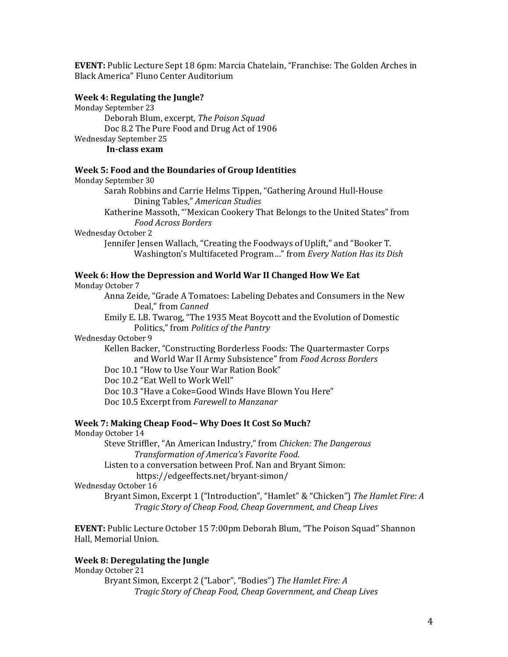**EVENT:** Public Lecture Sept 18 6pm: Marcia Chatelain, "Franchise: The Golden Arches in Black America" Fluno Center Auditorium

## **Week 4: Regulating the Jungle?**

Monday September 23 Deborah Blum, excerpt, *The Poison Squad* Doc 8.2 The Pure Food and Drug Act of 1906 Wednesday September 25 **In‐class exam**

#### **Week 5: Food and the Boundaries of Group Identities**

Monday September 30 Sarah Robbins and Carrie Helms Tippen, "Gathering Around Hull-House Dining Tables," *American Studies* Katherine Massoth, "'Mexican Cookery That Belongs to the United States" from *Food Across Borders* Wednesday October 2 Jennifer Jensen Wallach, "Creating the Foodways of Uplift," and "Booker T. Washington's Multifaceted Program…" from *Every Nation Has its Dish* **Week 6: How the Depression and World War II Changed How We Eat**

Monday October 7

Anna Zeide, "Grade A Tomatoes: Labeling Debates and Consumers in the New Deal," from *Canned*

Emily E. LB. Twarog, "The 1935 Meat Boycott and the Evolution of Domestic Politics," from *Politics of the Pantry*

#### Wednesday October 9

Kellen Backer, "Constructing Borderless Foods: The Quartermaster Corps and World War II Army Subsistence" from *Food Across Borders*

Doc 10.1 "How to Use Your War Ration Book"

Doc 10.2 "Eat Well to Work Well"

Doc 10.3 "Have a Coke=Good Winds Have Blown You Here"

Doc 10.5 Excerpt from *Farewell to Manzanar*

#### **Week 7: Making Cheap Food~ Why Does It Cost So Much?**

Monday October 14

Steve Striffler, "An American Industry," from *Chicken: The Dangerous Transformation of America's Favorite Food.* 

Listen to a conversation between Prof. Nan and Bryant Simon:

https://edgeeffects.net/bryant-simon/

Wednesday October 16

Bryant Simon, Excerpt 1 ("Introduction", "Hamlet" & "Chicken") *The Hamlet Fire: A Tragic Story of Cheap Food, Cheap Government, and Cheap Lives*

**EVENT:** Public Lecture October 15 7:00pm Deborah Blum, "The Poison Squad" Shannon Hall, Memorial Union.

## **Week 8: Deregulating the Jungle**

Monday October 21

Bryant Simon, Excerpt 2 ("Labor", "Bodies") *The Hamlet Fire: A Tragic Story of Cheap Food, Cheap Government, and Cheap Lives*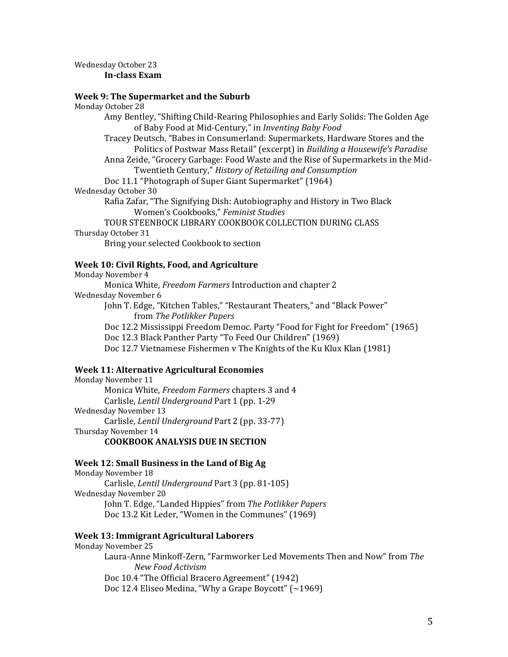#### Wednesday October 23 **In‐class Exam**

#### **Week 9: The Supermarket and the Suburb**

Monday October 28

- Amy Bentley, "Shifting Child-Rearing Philosophies and Early Solids: The Golden Age of Baby Food at Mid-Century," in *Inventing Baby Food*
- Tracey Deutsch, "Babes in Consumerland: Supermarkets, Hardware Stores and the Politics of Postwar Mass Retail" (excerpt) in *Building a Housewife's Paradise*
- Anna Zeide, "Grocery Garbage: Food Waste and the Rise of Supermarkets in the Mid-Twentieth Century," *History of Retailing and Consumption*
- Doc 11.1 "Photograph of Super Giant Supermarket" (1964)
- Wednesday October 30
	- Rafia Zafar, "The Signifying Dish: Autobiography and History in Two Black Women's Cookbooks," *Feminist Studies*

# TOUR STEENBOCK LIBRARY COOKBOOK COLLECTION DURING CLASS

# Thursday October 31

Bring your selected Cookbook to section

## **Week 10: Civil Rights, Food, and Agriculture**

Monday November 4 Monica White, *Freedom Farmers* Introduction and chapter 2 Wednesday November 6 John T. Edge, "Kitchen Tables," "Restaurant Theaters," and "Black Power" from *The Potlikker Papers* Doc 12.2 Mississippi Freedom Democ. Party "Food for Fight for Freedom" (1965) Doc 12.3 Black Panther Party "To Feed Our Children" (1969) Doc 12.7 Vietnamese Fishermen v The Knights of the Ku Klux Klan (1981)

# **Week 11: Alternative Agricultural Economies**

Monday November 11 Monica White, *Freedom Farmers* chapters 3 and 4 Carlisle, *Lentil Underground* Part 1 (pp. 1-29 Wednesday November 13 Carlisle, *Lentil Underground* Part 2 (pp. 33-77) Thursday November 14 **COOKBOOK ANALYSIS DUE IN SECTION**

### **Week 12: Small Business in the Land of Big Ag**

Monday November 18 Carlisle, *Lentil Underground* Part 3 (pp. 81-105) Wednesday November 20 John T. Edge, "Landed Hippies" from *The Potlikker Papers* Doc 13.2 Kit Leder, "Women in the Communes" (1969)

### **Week 13: Immigrant Agricultural Laborers**

Monday November 25

Laura-Anne Minkoff-Zern, "Farmworker Led Movements Then and Now" from The *New Food Activism* Doc 10.4 "The Official Bracero Agreement" (1942) Doc 12.4 Eliseo Medina, "Why a Grape Boycott" (~1969)